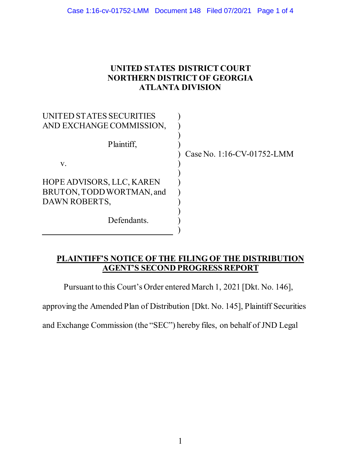## **UNITED STATES DISTRICT COURT NORTHERN DISTRICT OF GEORGIA ATLANTA DIVISION**

| NITED STATES SECURITIES   |                            |
|---------------------------|----------------------------|
| AND EXCHANGE COMMISSION,  |                            |
| Plaintiff,                | Case No. 1:16-CV-01752-LMM |
| V.                        |                            |
|                           |                            |
| HOPE ADVISORS, LLC, KAREN |                            |
| BRUTON, TODD WORTMAN, and |                            |
| DAWN ROBERTS,             |                            |
|                           |                            |
| Defendants.               |                            |
|                           |                            |

## **PLAINTIFF'S NOTICE OF THE FILING OF THE DISTRIBUTION AGENT'S SECOND PROGRESS REPORT**

Pursuant to this Court's Order entered March 1, 2021 [Dkt. No. 146],

approving the Amended Plan of Distribution [Dkt. No. 145], Plaintiff Securities

and Exchange Commission (the "SEC") hereby files, on behalf of JND Legal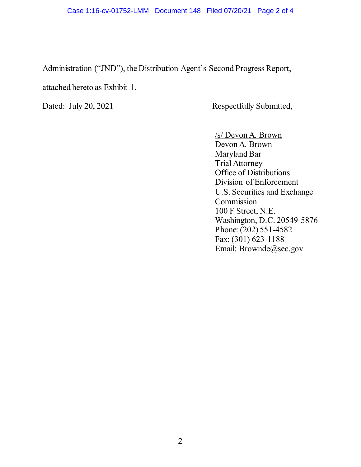Administration ("JND"), the Distribution Agent's Second Progress Report,

attached hereto as Exhibit 1.

Dated: July 20, 2021 Respectfully Submitted,

/s/ Devon A. Brown Devon A. Brown Maryland Bar Trial Attorney Office of Distributions Division of Enforcement U.S. Securities and Exchange Commission 100 F Street, N.E. Washington, D.C. 20549-5876 Phone: (202) 551-4582 Fax: (301) 623-1188 Email: Brownde@sec.gov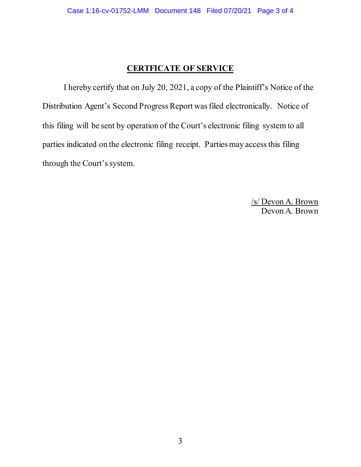## **CERTFICATE OF SERVICE**

I hereby certify that on July 20, 2021, a copy of the Plaintiff's Notice of the Distribution Agent's Second Progress Report wasfiled electronically. Notice of this filing will be sent by operation of the Court's electronic filing system to all parties indicated on the electronic filing receipt. Parties may access this filing through the Court's system.

> /s/ Devon A. Brown Devon A. Brown